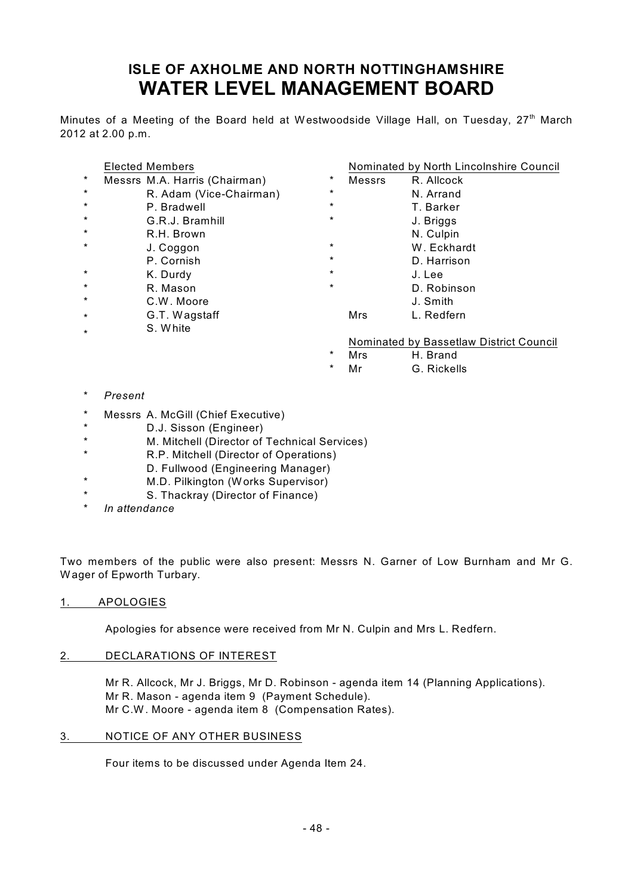# **ISLE OF AXHOLME AND NORTH NOTTINGHAMSHIRE WATER LEVEL MANAGEMENT BOARD**

Minutes of a Meeting of the Board held at Westwoodside Village Hall, on Tuesday, 27<sup>th</sup> March 2012 at 2.00 p.m.

#### Elected Members

- \* Messrs M.A. Harris (Chairman)
- \* R. Adam (Vice-Chairman)
- \* P. Bradwell
- \* G.R.J. Bramhill
- \* R.H. Brown
- \* J. Coggon
- P. Cornish
- \* K. Durdy
- \* R. Mason
- \* C.W. Moore
- \* G.T. Wagstaff
- \* S. White

#### Nominated by North Lincolnshire Council

| $\star$ | Messrs | R. Allcock  |  |
|---------|--------|-------------|--|
| $\star$ |        | N. Arrand   |  |
| $\star$ |        | T. Barker   |  |
| $\star$ |        | J. Briggs   |  |
|         |        | N. Culpin   |  |
| $\star$ |        | W. Eckhardt |  |
| $\star$ |        | D. Harrison |  |
| $\star$ |        | J. Lee      |  |
| $\star$ |        | D. Robinson |  |
|         |        | J. Smith    |  |
|         | Mrs    | L. Redfern  |  |

#### Nominated by Bassetlaw District Council

- \* Mrs H. Brand
- \* Mr G. Rickells

- $Present$
- \* Messrs A. McGill (Chief Executive)
- \* D.J. Sisson (Engineer)
- \* M. Mitchell (Director of Technical Services)
- \* R.P. Mitchell (Director of Operations)
- D. Fullwood (Engineering Manager)
- \* M.D. Pilkington (Works Supervisor)
- \* S. Thackray (Director of Finance)
- \* *In attendance*

Two members of the public were also present: Messrs N. Garner of Low Burnham and Mr G. Wager of Epworth Turbary.

#### 1. APOLOGIES

Apologies for absence were received from Mr N. Culpin and Mrs L. Redfern.

#### 2. DECLARATIONS OF INTEREST

Mr R. Allcock, Mr J. Briggs, Mr D. Robinson - agenda item 14 (Planning Applications). Mr R. Mason - agenda item 9 (Payment Schedule). Mr C.W. Moore - agenda item 8 (Compensation Rates).

#### 3. NOTICE OF ANY OTHER BUSINESS

Four items to be discussed under Agenda Item 24.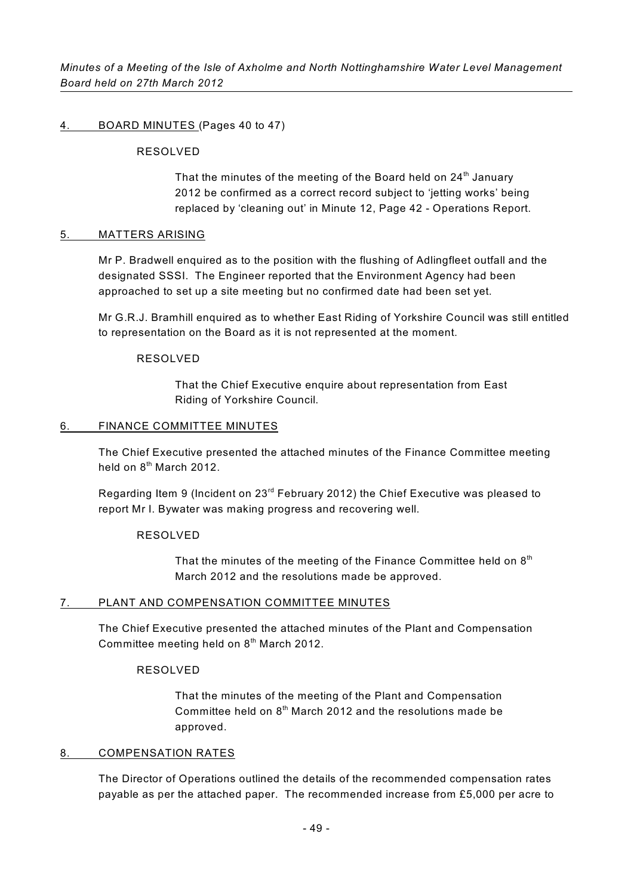#### 4. BOARD MINUTES (Pages 40 to 47)

#### RESOLVED

That the minutes of the meeting of the Board held on  $24<sup>th</sup>$  January 2012 be confirmed as a correct record subject to 'jetting works' being replaced by 'cleaning out' in Minute 12, Page 42 - Operations Report.

#### 5. MATTERS ARISING

Mr P. Bradwell enquired as to the position with the flushing of Adlingfleet outfall and the designated SSSI. The Engineer reported that the Environment Agency had been approached to set up a site meeting but no confirmed date had been set yet.

Mr G.R.J. Bramhill enquired as to whether East Riding of Yorkshire Council was still entitled to representation on the Board as it is not represented at the moment.

#### RESOLVED

That the Chief Executive enquire about representation from East Riding of Yorkshire Council.

#### 6. FINANCE COMMITTEE MINUTES

The Chief Executive presented the attached minutes of the Finance Committee meeting held on  $8<sup>th</sup>$  March 2012.

Regarding Item 9 (Incident on  $23<sup>rd</sup>$  February 2012) the Chief Executive was pleased to report Mr I. Bywater was making progress and recovering well.

#### RESOLVED

That the minutes of the meeting of the Finance Committee held on  $8<sup>th</sup>$ March 2012 and the resolutions made be approved.

#### 7. PLANT AND COMPENSATION COMMITTEE MINUTES

The Chief Executive presented the attached minutes of the Plant and Compensation Committee meeting held on  $8<sup>th</sup>$  March 2012.

## RESOLVED

That the minutes of the meeting of the Plant and Compensation Committee held on  $8<sup>th</sup>$  March 2012 and the resolutions made be approved.

#### 8. COMPENSATION RATES

The Director of Operations outlined the details of the recommended compensation rates payable as per the attached paper. The recommended increase from £5,000 per acre to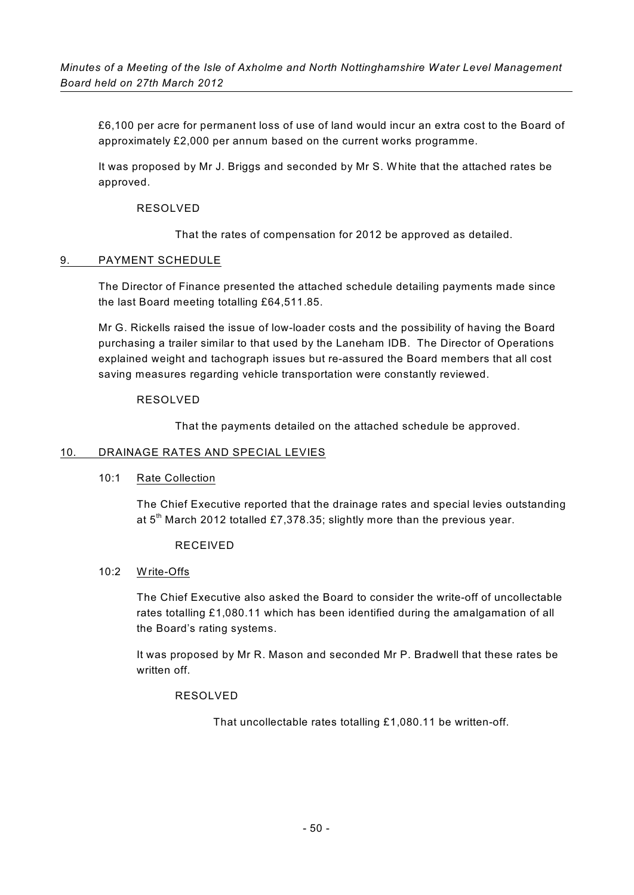£6,100 per acre for permanent loss of use of land would incur an extra cost to the Board of approximately £2,000 per annum based on the current works programme.

It was proposed by Mr J. Briggs and seconded by Mr S. White that the attached rates be approved.

#### RESOLVED

That the rates of compensation for 2012 be approved as detailed.

#### 9. PAYMENT SCHEDULE

The Director of Finance presented the attached schedule detailing payments made since the last Board meeting totalling £64,511.85.

Mr G. Rickells raised the issue of low-loader costs and the possibility of having the Board purchasing a trailer similar to that used by the Laneham IDB. The Director of Operations explained weight and tachograph issues but re-assured the Board members that all cost saving measures regarding vehicle transportation were constantly reviewed.

#### RESOLVED

That the payments detailed on the attached schedule be approved.

## 10. DRAINAGE RATES AND SPECIAL LEVIES

#### 10:1 Rate Collection

The Chief Executive reported that the drainage rates and special levies outstanding at  $5<sup>th</sup>$  March 2012 totalled £7,378.35; slightly more than the previous year.

#### RECEIVED

#### 10:2 Write-Offs

The Chief Executive also asked the Board to consider the write-off of uncollectable rates totalling £1,080.11 which has been identified during the amalgamation of all the Board's rating systems.

It was proposed by Mr R. Mason and seconded Mr P. Bradwell that these rates be written off.

## RESOLVED

That uncollectable rates totalling £1,080.11 be written-off.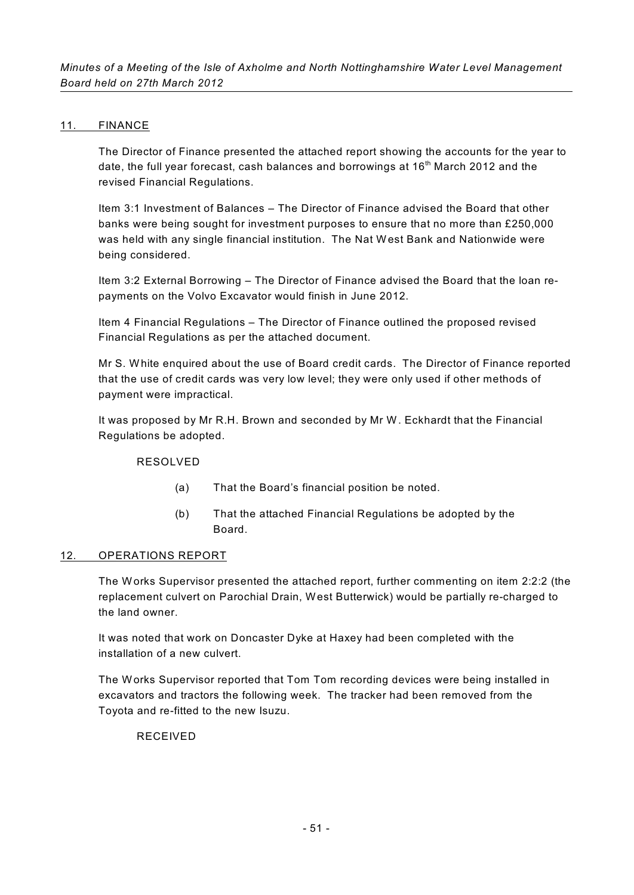## 11. FINANCE

The Director of Finance presented the attached report showing the accounts for the year to date, the full year forecast, cash balances and borrowings at  $16<sup>th</sup>$  March 2012 and the revised Financial Regulations.

Item 3:1 Investment of Balances – The Director of Finance advised the Board that other banks were being sought for investment purposes to ensure that no more than £250,000 was held with any single financial institution. The Nat West Bank and Nationwide were being considered.

Item 3:2 External Borrowing – The Director of Finance advised the Board that the loan repayments on the Volvo Excavator would finish in June 2012.

Item 4 Financial Regulations – The Director of Finance outlined the proposed revised Financial Regulations as per the attached document.

Mr S. White enquired about the use of Board credit cards. The Director of Finance reported that the use of credit cards was very low level; they were only used if other methods of payment were impractical.

It was proposed by Mr R.H. Brown and seconded by Mr W. Eckhardt that the Financial Regulations be adopted.

## RESOLVED

- (a) That the Board's financial position be noted.
- (b) That the attached Financial Regulations be adopted by the Board.

## 12. OPERATIONS REPORT

The Works Supervisor presented the attached report, further commenting on item 2:2:2 (the replacement culvert on Parochial Drain, West Butterwick) would be partially re-charged to the land owner.

It was noted that work on Doncaster Dyke at Haxey had been completed with the installation of a new culvert.

The Works Supervisor reported that Tom Tom recording devices were being installed in excavators and tractors the following week. The tracker had been removed from the Toyota and re-fitted to the new Isuzu.

## RECEIVED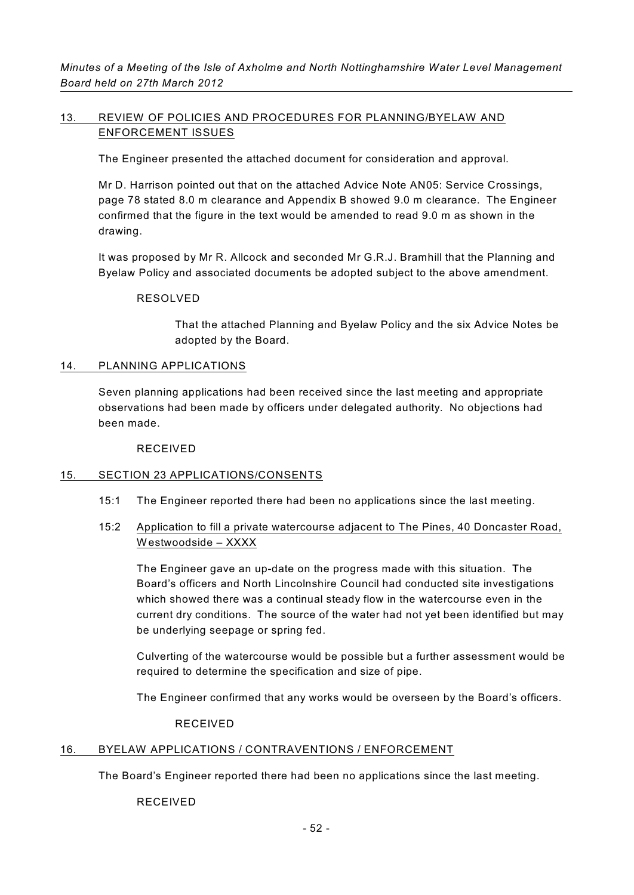# 13. REVIEW OF POLICIES AND PROCEDURES FOR PLANNING/BYELAW AND ENFORCEMENT ISSUES

The Engineer presented the attached document for consideration and approval.

Mr D. Harrison pointed out that on the attached Advice Note AN05: Service Crossings, page 78 stated 8.0 m clearance and Appendix B showed 9.0 m clearance. The Engineer confirmed that the figure in the text would be amended to read 9.0 m as shown in the drawing.

It was proposed by Mr R. Allcock and seconded Mr G.R.J. Bramhill that the Planning and Byelaw Policy and associated documents be adopted subject to the above amendment.

## RESOLVED

That the attached Planning and Byelaw Policy and the six Advice Notes be adopted by the Board.

#### 14. PLANNING APPLICATIONS

Seven planning applications had been received since the last meeting and appropriate observations had been made by officers under delegated authority. No objections had been made.

RECEIVED

## 15. SECTION 23 APPLICATIONS/CONSENTS

15:1 The Engineer reported there had been no applications since the last meeting.

## 15:2 Application to fill a private watercourse adjacent to The Pines, 40 Doncaster Road, Westwoodside – XXXX

The Engineer gave an up-date on the progress made with this situation. The Board's officers and North Lincolnshire Council had conducted site investigations which showed there was a continual steady flow in the watercourse even in the current dry conditions. The source of the water had not yet been identified but may be underlying seepage or spring fed.

Culverting of the watercourse would be possible but a further assessment would be required to determine the specification and size of pipe.

The Engineer confirmed that any works would be overseen by the Board's officers.

#### RECEIVED

## 16. BYELAW APPLICATIONS / CONTRAVENTIONS / ENFORCEMENT

The Board's Engineer reported there had been no applications since the last meeting.

RECEIVED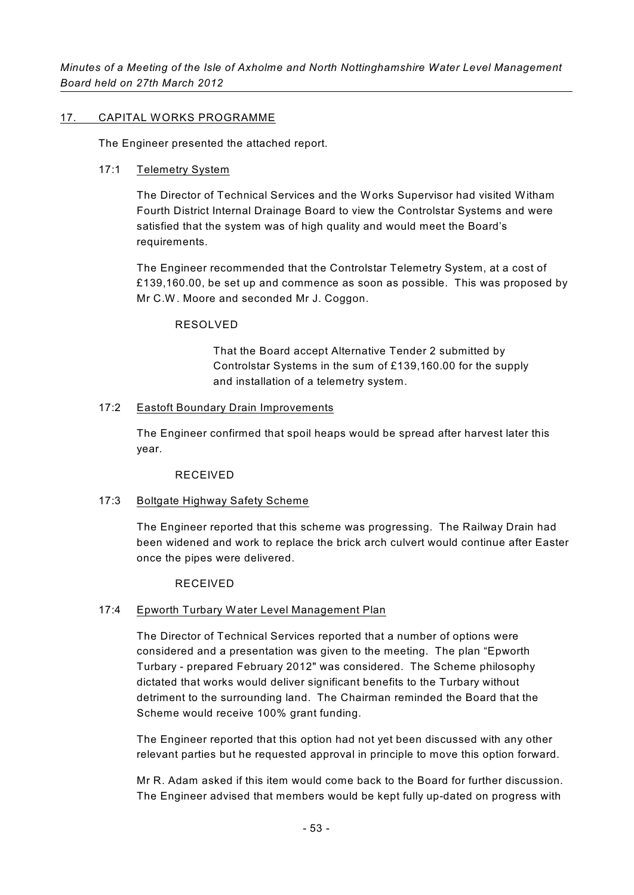## 17. CAPITAL WORKS PROGRAMME

The Engineer presented the attached report.

# 17:1 Telemetry System

The Director of Technical Services and the Works Supervisor had visited Witham Fourth District Internal Drainage Board to view the Controlstar Systems and were satisfied that the system was of high quality and would meet the Board's requirements.

The Engineer recommended that the Controlstar Telemetry System, at a cost of £139,160.00, be set up and commence as soon as possible. This was proposed by Mr C.W. Moore and seconded Mr J. Coggon.

# RESOLVED

That the Board accept Alternative Tender 2 submitted by Controlstar Systems in the sum of £139,160.00 for the supply and installation of a telemetry system.

# 17:2 Eastoft Boundary Drain Improvements

The Engineer confirmed that spoil heaps would be spread after harvest later this year.

## RECEIVED

# 17:3 Boltgate Highway Safety Scheme

The Engineer reported that this scheme was progressing. The Railway Drain had been widened and work to replace the brick arch culvert would continue after Easter once the pipes were delivered.

## RECEIVED

## 17:4 Epworth Turbary Water Level Management Plan

The Director of Technical Services reported that a number of options were considered and a presentation was given to the meeting. The plan "Epworth Turbary - prepared February 2012" was considered. The Scheme philosophy dictated that works would deliver significant benefits to the Turbary without detriment to the surrounding land. The Chairman reminded the Board that the Scheme would receive 100% grant funding.

The Engineer reported that this option had not yet been discussed with any other relevant parties but he requested approval in principle to move this option forward.

Mr R. Adam asked if this item would come back to the Board for further discussion. The Engineer advised that members would be kept fully up-dated on progress with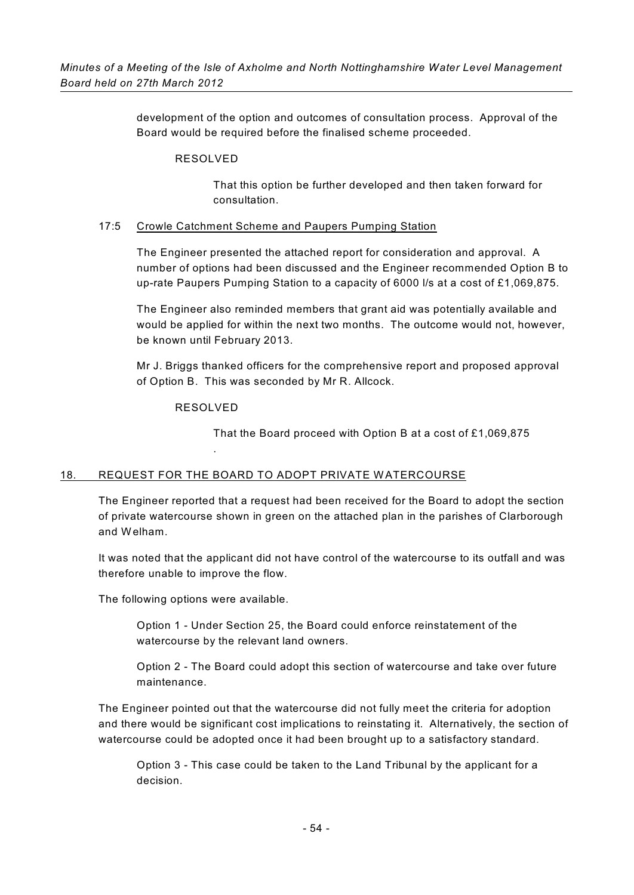development of the option and outcomes of consultation process. Approval of the Board would be required before the finalised scheme proceeded.

## RESOLVED

That this option be further developed and then taken forward for consultation.

## 17:5 Crowle Catchment Scheme and Paupers Pumping Station

The Engineer presented the attached report for consideration and approval. A number of options had been discussed and the Engineer recommended Option B to up-rate Paupers Pumping Station to a capacity of 6000 l/s at a cost of £1,069,875.

The Engineer also reminded members that grant aid was potentially available and would be applied for within the next two months. The outcome would not, however, be known until February 2013.

Mr J. Briggs thanked officers for the comprehensive report and proposed approval of Option B. This was seconded by Mr R. Allcock.

# RESOLVED

.

That the Board proceed with Option B at a cost of £1,069,875

# 18. REQUEST FOR THE BOARD TO ADOPT PRIVATE WATERCOURSE

The Engineer reported that a request had been received for the Board to adopt the section of private watercourse shown in green on the attached plan in the parishes of Clarborough and Welham.

It was noted that the applicant did not have control of the watercourse to its outfall and was therefore unable to improve the flow.

The following options were available.

Option 1 - Under Section 25, the Board could enforce reinstatement of the watercourse by the relevant land owners.

Option 2 - The Board could adopt this section of watercourse and take over future maintenance.

The Engineer pointed out that the watercourse did not fully meet the criteria for adoption and there would be significant cost implications to reinstating it. Alternatively, the section of watercourse could be adopted once it had been brought up to a satisfactory standard.

Option 3 - This case could be taken to the Land Tribunal by the applicant for a decision.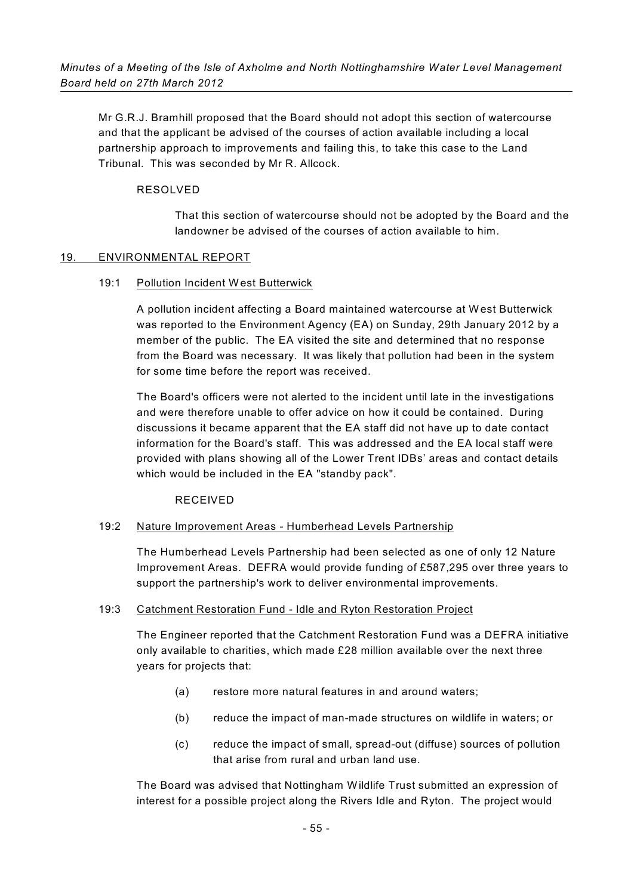Mr G.R.J. Bramhill proposed that the Board should not adopt this section of watercourse and that the applicant be advised of the courses of action available including a local partnership approach to improvements and failing this, to take this case to the Land Tribunal. This was seconded by Mr R. Allcock.

## RESOLVED

That this section of watercourse should not be adopted by the Board and the landowner be advised of the courses of action available to him.

#### 19. ENVIRONMENTAL REPORT

#### 19:1 Pollution Incident West Butterwick

A pollution incident affecting a Board maintained watercourse at West Butterwick was reported to the Environment Agency (EA) on Sunday, 29th January 2012 by a member of the public. The EA visited the site and determined that no response from the Board was necessary. It was likely that pollution had been in the system for some time before the report was received.

The Board's officers were not alerted to the incident until late in the investigations and were therefore unable to offer advice on how it could be contained. During discussions it became apparent that the EA staff did not have up to date contact information for the Board's staff. This was addressed and the EA local staff were provided with plans showing all of the Lower Trent IDBs' areas and contact details which would be included in the EA "standby pack".

#### RECEIVED

#### 19:2 Nature Improvement Areas - Humberhead Levels Partnership

The Humberhead Levels Partnership had been selected as one of only 12 Nature Improvement Areas. DEFRA would provide funding of £587,295 over three years to support the partnership's work to deliver environmental improvements.

#### 19:3 Catchment Restoration Fund - Idle and Ryton Restoration Project

The Engineer reported that the Catchment Restoration Fund was a DEFRA initiative only available to charities, which made £28 million available over the next three years for projects that:

- (a) restore more natural features in and around waters;
- (b) reduce the impact of man-made structures on wildlife in waters; or
- (c) reduce the impact of small, spread-out (diffuse) sources of pollution that arise from rural and urban land use.

The Board was advised that Nottingham Wildlife Trust submitted an expression of interest for a possible project along the Rivers Idle and Ryton. The project would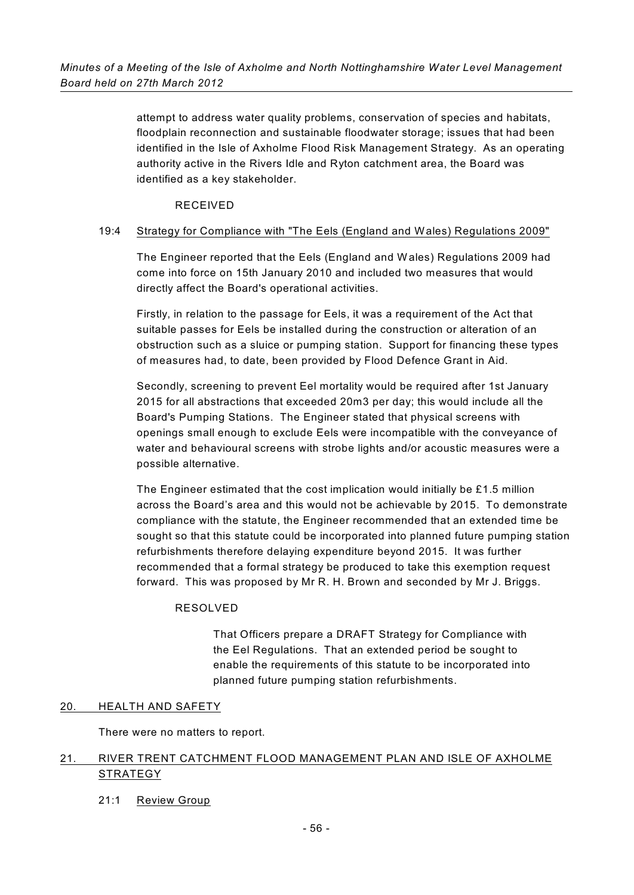attempt to address water quality problems, conservation of species and habitats, floodplain reconnection and sustainable floodwater storage; issues that had been identified in the Isle of Axholme Flood Risk Management Strategy. As an operating authority active in the Rivers Idle and Ryton catchment area, the Board was identified as a key stakeholder.

## RECEIVED

## 19:4 Strategy for Compliance with "The Eels (England and Wales) Regulations 2009"

The Engineer reported that the Eels (England and Wales) Regulations 2009 had come into force on 15th January 2010 and included two measures that would directly affect the Board's operational activities.

Firstly, in relation to the passage for Eels, it was a requirement of the Act that suitable passes for Eels be installed during the construction or alteration of an obstruction such as a sluice or pumping station. Support for financing these types of measures had, to date, been provided by Flood Defence Grant in Aid.

Secondly, screening to prevent Eel mortality would be required after 1st January 2015 for all abstractions that exceeded 20m3 per day; this would include all the Board's Pumping Stations. The Engineer stated that physical screens with openings small enough to exclude Eels were incompatible with the conveyance of water and behavioural screens with strobe lights and/or acoustic measures were a possible alternative.

The Engineer estimated that the cost implication would initially be £1.5 million across the Board's area and this would not be achievable by 2015. To demonstrate compliance with the statute, the Engineer recommended that an extended time be sought so that this statute could be incorporated into planned future pumping station refurbishments therefore delaying expenditure beyond 2015. It was further recommended that a formal strategy be produced to take this exemption request forward. This was proposed by Mr R. H. Brown and seconded by Mr J. Briggs.

## RESOLVED

That Officers prepare a DRAFT Strategy for Compliance with the Eel Regulations. That an extended period be sought to enable the requirements of this statute to be incorporated into planned future pumping station refurbishments.

## 20. HEALTH AND SAFETY

There were no matters to report.

# 21. RIVER TRENT CATCHMENT FLOOD MANAGEMENT PLAN AND ISLE OF AXHOLME **STRATEGY**

## 21:1 Review Group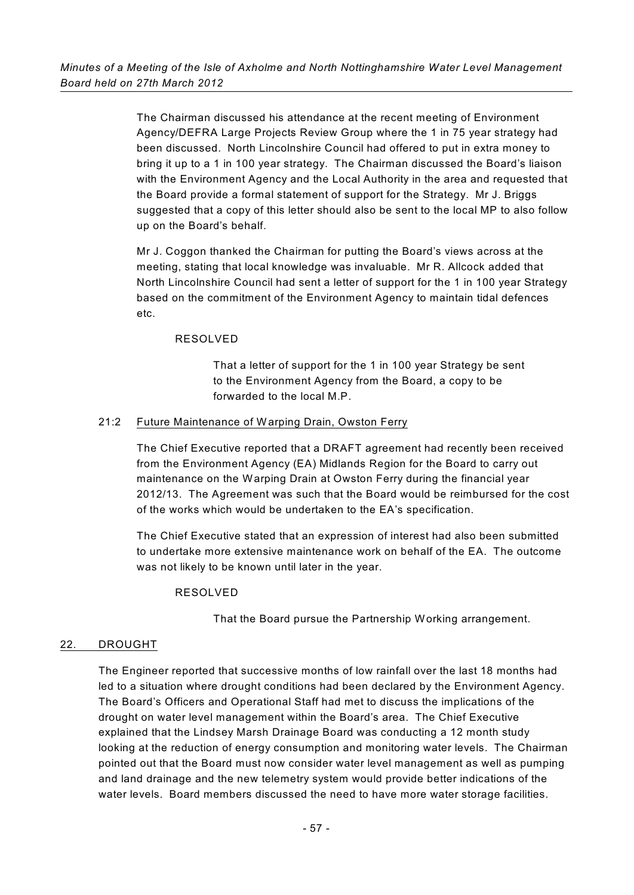The Chairman discussed his attendance at the recent meeting of Environment Agency/DEFRA Large Projects Review Group where the 1 in 75 year strategy had been discussed. North Lincolnshire Council had offered to put in extra money to bring it up to a 1 in 100 year strategy. The Chairman discussed the Board's liaison with the Environment Agency and the Local Authority in the area and requested that the Board provide a formal statement of support for the Strategy. Mr J. Briggs suggested that a copy of this letter should also be sent to the local MP to also follow up on the Board's behalf.

Mr J. Coggon thanked the Chairman for putting the Board's views across at the meeting, stating that local knowledge was invaluable. Mr R. Allcock added that North Lincolnshire Council had sent a letter of support for the 1 in 100 year Strategy based on the commitment of the Environment Agency to maintain tidal defences etc.

## RESOLVED

That a letter of support for the 1 in 100 year Strategy be sent to the Environment Agency from the Board, a copy to be forwarded to the local M.P.

# 21:2 Future Maintenance of Warping Drain, Owston Ferry

The Chief Executive reported that a DRAFT agreement had recently been received from the Environment Agency (EA) Midlands Region for the Board to carry out maintenance on the Warping Drain at Owston Ferry during the financial year 2012/13. The Agreement was such that the Board would be reimbursed for the cost of the works which would be undertaken to the EA's specification.

The Chief Executive stated that an expression of interest had also been submitted to undertake more extensive maintenance work on behalf of the EA. The outcome was not likely to be known until later in the year.

## RESOLVED

That the Board pursue the Partnership Working arrangement.

# 22. DROUGHT

The Engineer reported that successive months of low rainfall over the last 18 months had led to a situation where drought conditions had been declared by the Environment Agency. The Board's Officers and Operational Staff had met to discuss the implications of the drought on water level management within the Board's area. The Chief Executive explained that the Lindsey Marsh Drainage Board was conducting a 12 month study looking at the reduction of energy consumption and monitoring water levels. The Chairman pointed out that the Board must now consider water level management as well as pumping and land drainage and the new telemetry system would provide better indications of the water levels. Board members discussed the need to have more water storage facilities.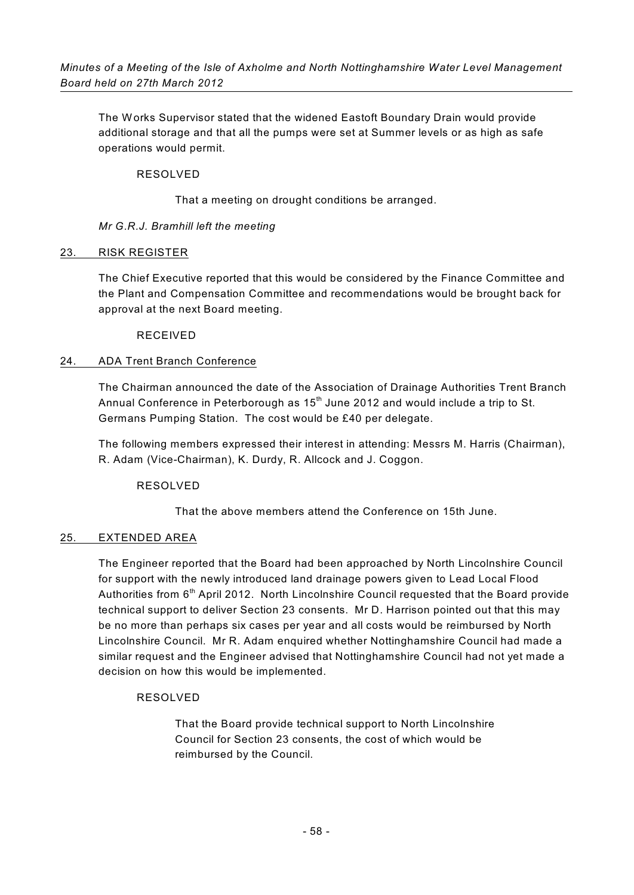The Works Supervisor stated that the widened Eastoft Boundary Drain would provide additional storage and that all the pumps were set at Summer levels or as high as safe operations would permit.

## RESOLVED

That a meeting on drought conditions be arranged.

# *Mr G.R.J. Bramhill left the meeting*

# 23. RISK REGISTER

The Chief Executive reported that this would be considered by the Finance Committee and the Plant and Compensation Committee and recommendations would be brought back for approval at the next Board meeting.

# RECEIVED

# 24. ADA Trent Branch Conference

The Chairman announced the date of the Association of Drainage Authorities Trent Branch Annual Conference in Peterborough as  $15<sup>th</sup>$  June 2012 and would include a trip to St. Germans Pumping Station. The cost would be £40 per delegate.

The following members expressed their interest in attending: Messrs M. Harris (Chairman), R. Adam (Vice-Chairman), K. Durdy, R. Allcock and J. Coggon.

## RESOLVED

That the above members attend the Conference on 15th June.

# 25. EXTENDED AREA

The Engineer reported that the Board had been approached by North Lincolnshire Council for support with the newly introduced land drainage powers given to Lead Local Flood Authorities from 6<sup>th</sup> April 2012. North Lincolnshire Council requested that the Board provide technical support to deliver Section 23 consents. Mr D. Harrison pointed out that this may be no more than perhaps six cases per year and all costs would be reimbursed by North Lincolnshire Council. Mr R. Adam enquired whether Nottinghamshire Council had made a similar request and the Engineer advised that Nottinghamshire Council had not yet made a decision on how this would be implemented.

# RESOLVED

That the Board provide technical support to North Lincolnshire Council for Section 23 consents, the cost of which would be reimbursed by the Council.